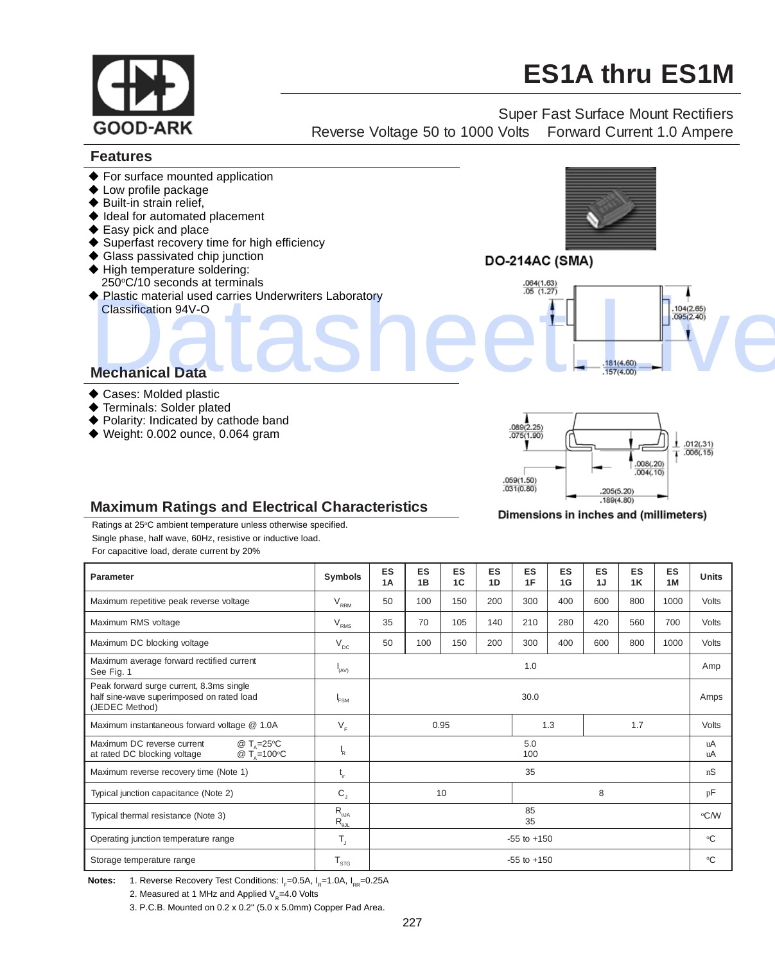

Dimensions in inches and (millimeters)

## **Maximum Ratings and Electrical Characteristics**

Ratings at 25°C ambient temperature unless otherwise specified. Single phase, half wave, 60Hz, resistive or inductive load.

For capacitive load, derate current by 20%

| Parameter                                                                                                         | Symbols                                                                  | <b>ES</b><br>1A | <b>ES</b><br>1B | ES<br>1C | <b>ES</b><br>1D | <b>ES</b><br>1F | <b>ES</b><br>1G | ES<br>1J | <b>ES</b><br>1K | <b>ES</b><br>1M | Units    |
|-------------------------------------------------------------------------------------------------------------------|--------------------------------------------------------------------------|-----------------|-----------------|----------|-----------------|-----------------|-----------------|----------|-----------------|-----------------|----------|
| Maximum repetitive peak reverse voltage                                                                           | $\rm V_{\rm RRM}$                                                        | 50              | 100             | 150      | 200             | 300             | 400             | 600      | 800             | 1000            | Volts    |
| Maximum RMS voltage                                                                                               | $\rm V_{\rm RMS}$                                                        | 35              | 70              | 105      | 140             | 210             | 280             | 420      | 560             | 700             | Volts    |
| Maximum DC blocking voltage                                                                                       | $\mathsf{V}_{\mathsf{dc}}$                                               | 50              | 100             | 150      | 200             | 300             | 400             | 600      | 800             | 1000            | Volts    |
| Maximum average forward rectified current<br>See Fig. 1                                                           | H(AV)                                                                    | 1.0             |                 |          |                 |                 |                 |          |                 |                 | Amp      |
| Peak forward surge current, 8.3ms single<br>half sine-wave superimposed on rated load<br>(JEDEC Method)           | <b>FSM</b>                                                               | 30.0            |                 |          |                 |                 |                 |          |                 |                 | Amps     |
| Maximum instantaneous forward voltage @ 1.0A                                                                      | $V_F$                                                                    | 0.95            |                 |          |                 | 1.3             |                 | 1.7      |                 | Volts           |          |
| Maximum DC reverse current<br>@ $T_{0} = 25^{\circ}C$<br>at rated DC blocking voltage<br>@ $T_{0} = 100^{\circ}C$ | $\mathbf{R}$                                                             | 5.0<br>100      |                 |          |                 |                 |                 |          |                 |                 | uA<br>uA |
| Maximum reverse recovery time (Note 1)                                                                            | t,                                                                       | 35              |                 |          |                 |                 |                 |          |                 |                 | nS       |
| Typical junction capacitance (Note 2)                                                                             | $C_{1}$                                                                  | 10<br>8         |                 |          |                 |                 |                 |          | pF              |                 |          |
| Typical thermal resistance (Note 3)                                                                               | $\mathsf{R}_{\scriptscriptstyle{\theta\mathsf{JA}}}$<br>$R_{\text{out}}$ | 85<br>35        |                 |          |                 |                 |                 |          |                 |                 | °C/W     |
| Operating junction temperature range                                                                              | $T_{\rm{a}}$                                                             | $-55$ to $+150$ |                 |          |                 |                 |                 |          |                 |                 | °C       |
| Storage temperature range                                                                                         | $T_{\rm src}$                                                            | $-55$ to $+150$ |                 |          |                 |                 |                 |          |                 |                 | °C       |

**Notes:** 1. Reverse Recovery Test Conditions: I<sub>F</sub>=0.5A, I<sub>R</sub>=1.0A, I<sub>RR</sub>=0.25A

2. Measured at 1 MHz and Applied  $V_e$ =4.0 Volts

3. P.C.B. Mounted on 0.2 x 0.2" (5.0 x 5.0mm) Copper Pad Area.